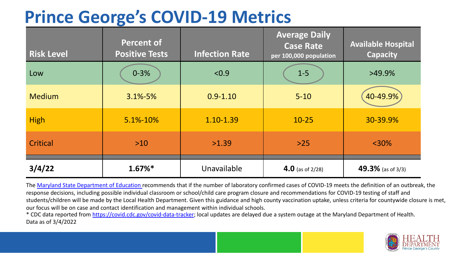# **Prince George's COVID-19 Metrics**

| <b>Risk Level</b> | <b>Percent of</b><br><b>Positive Tests</b> | <b>Infection Rate</b> | <b>Average Daily</b><br><b>Case Rate</b><br>per 100,000 population | <b>Available Hospital</b><br><b>Capacity</b> |
|-------------------|--------------------------------------------|-----------------------|--------------------------------------------------------------------|----------------------------------------------|
| Low               | $0 - 3%$                                   | < 0.9                 | $1-5$                                                              | $>49.9\%$                                    |
| <b>Medium</b>     | $3.1\% - 5\%$                              | $0.9 - 1.10$          | $5 - 10$                                                           | 40-49.9%                                     |
| <b>High</b>       | 5.1%-10%                                   | 1.10-1.39             | $10 - 25$                                                          | 30-39.9%                                     |
| Critical          | $>10$                                      | >1.39                 | $>25$                                                              | $<$ 30%                                      |
| 3/4/22            | $1.67\%$ *                                 | Unavailable           | 4.0 (as of $2/28$ )                                                | 49.3% (as of 3/3)                            |

The [Maryland State Department of Education](https://earlychildhood.marylandpublicschools.org/system/files/filedepot/3/covid_guidance_full_080420.pdf) recommends that if the number of laboratory confirmed cases of COVID-19 meets the definition of an outbreak, the response decisions, including possible individual classroom or school/child care program closure and recommendations for COVID-19 testing of staff and students/children will be made by the Local Health Department. Given this guidance and high county vaccination uptake, unless criteria for countywide closure is met, our focus will be on case and contact identification and management within individual schools.

\* CDC data reported from <https://covid.cdc.gov/covid-data-tracker>; local updates are delayed due a system outage at the Maryland Department of Health. Data as of 3/4/2022

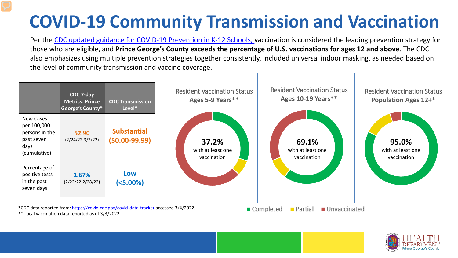# **COVID-19 Community Transmission and Vaccination**

Per the [CDC updated guidance for COVID-19 Prevention in K-12 Schools,](https://www.cdc.gov/coronavirus/2019-ncov/community/schools-childcare/k-12-guidance.html) vaccination is considered the leading prevention strategy for those who are eligible, and **Prince George's County exceeds the percentage of U.S. vaccinations for ages 12 and above**. The CDC also emphasizes using multiple prevention strategies together consistently, included universal indoor masking, as needed based on the level of community transmission and vaccine coverage.



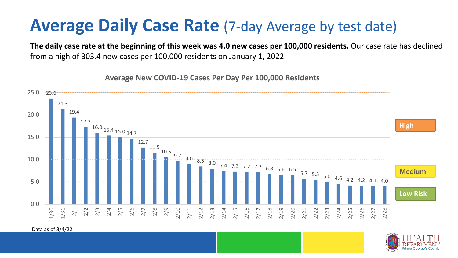### **Average Daily Case Rate** (7-day Average by test date)

**The daily case rate at the beginning of this week was 4.0 new cases per 100,000 residents.** Our case rate has declined from a high of 303.4 new cases per 100,000 residents on January 1, 2022.



**Average New COVID-19 Cases Per Day Per 100,000 Residents**

Data as of 3/4/22